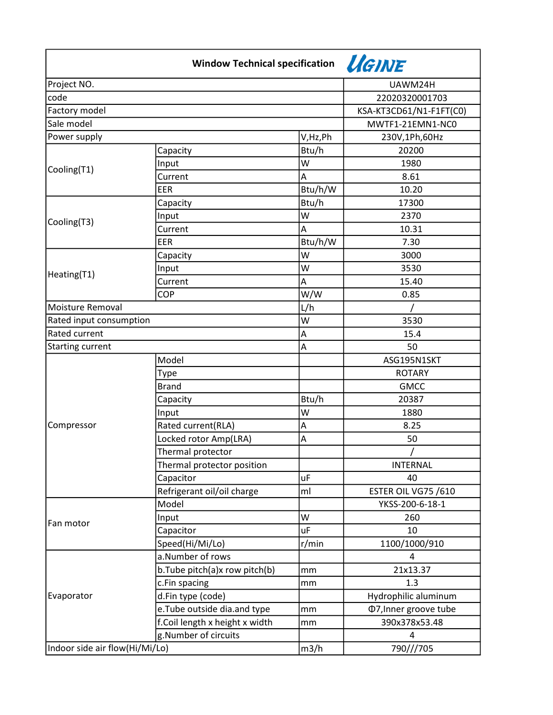|                                | Window Technical specification VGINE |           |                              |
|--------------------------------|--------------------------------------|-----------|------------------------------|
| Project NO.                    |                                      |           | UAWM24H                      |
| code                           |                                      |           | 22020320001703               |
| Factory model                  |                                      |           | KSA-KT3CD61/N1-F1FT(C0)      |
| Sale model                     |                                      |           | MWTF1-21EMN1-NC0             |
| Power supply                   |                                      | V,Hz,Ph   | 230V,1Ph,60Hz                |
| Cooling(T1)                    | Capacity                             | Btu/h     | 20200                        |
|                                | Input                                | W         | 1980                         |
|                                | Current                              | Α         | 8.61                         |
|                                | EER                                  | Btu/h/W   | 10.20                        |
| Cooling(T3)                    | Capacity                             | Btu/h     | 17300                        |
|                                | Input                                | W         | 2370                         |
|                                | Current                              | A         | 10.31                        |
|                                | EER                                  | Btu/h/W   | 7.30                         |
| Heating(T1)                    | Capacity                             | W         | 3000                         |
|                                | Input                                | W         | 3530                         |
|                                | Current                              | Α         | 15.40                        |
|                                | <b>COP</b>                           | W/W       | 0.85                         |
| Moisture Removal               |                                      | L/h       |                              |
| Rated input consumption        |                                      | W         | 3530                         |
| Rated current                  |                                      | A         | 15.4                         |
| <b>Starting current</b>        |                                      | A         | 50                           |
| Compressor                     | Model                                |           | ASG195N1SKT                  |
|                                | Type                                 |           | <b>ROTARY</b>                |
|                                | <b>Brand</b>                         |           | <b>GMCC</b>                  |
|                                | Capacity                             | Btu/h     | 20387                        |
|                                | Input                                | W         | 1880                         |
|                                | Rated current(RLA)                   | A         | 8.25                         |
|                                | Locked rotor Amp(LRA)                | Α         | 50                           |
|                                | Thermal protector                    |           |                              |
|                                | Thermal protector position           |           | <b>INTERNAL</b>              |
|                                | Capacitor                            | <b>uF</b> | 40                           |
|                                | Refrigerant oil/oil charge           | ml        | ESTER OIL VG75 /610          |
| Fan motor                      | Model                                |           | YKSS-200-6-18-1              |
|                                | Input                                | W         | 260                          |
|                                | Capacitor                            | uF        | 10                           |
|                                | Speed(Hi/Mi/Lo)                      | r/min     | 1100/1000/910                |
|                                | a.Number of rows                     |           | 4                            |
| Evaporator                     | b.Tube pitch(a)x row pitch(b)        | mm        | 21x13.37                     |
|                                | c.Fin spacing                        | mm        | 1.3                          |
|                                | d.Fin type (code)                    |           | Hydrophilic aluminum         |
|                                | e. Tube outside dia.and type         | mm        | <b>Φ7, Inner groove tube</b> |
|                                | f.Coil length x height x width       | mm        | 390x378x53.48                |
|                                | g.Number of circuits                 |           | 4                            |
| Indoor side air flow(Hi/Mi/Lo) |                                      | m3/h      | 790///705                    |